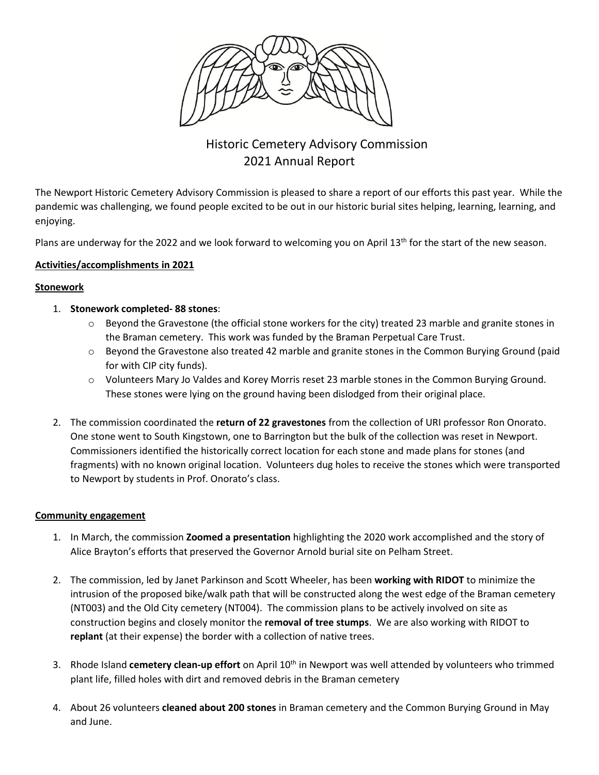

# Historic Cemetery Advisory Commission 2021 Annual Report

The Newport Historic Cemetery Advisory Commission is pleased to share a report of our efforts this past year. While the pandemic was challenging, we found people excited to be out in our historic burial sites helping, learning, learning, and enjoying.

Plans are underway for the 2022 and we look forward to welcoming you on April 13<sup>th</sup> for the start of the new season.

### **Activities/accomplishments in 2021**

#### **Stonework**

- 1. **Stonework completed- 88 stones**:
	- o Beyond the Gravestone (the official stone workers for the city) treated 23 marble and granite stones in the Braman cemetery. This work was funded by the Braman Perpetual Care Trust.
	- $\circ$  Beyond the Gravestone also treated 42 marble and granite stones in the Common Burying Ground (paid for with CIP city funds).
	- o Volunteers Mary Jo Valdes and Korey Morris reset 23 marble stones in the Common Burying Ground. These stones were lying on the ground having been dislodged from their original place.
- 2. The commission coordinated the **return of 22 gravestones** from the collection of URI professor Ron Onorato. One stone went to South Kingstown, one to Barrington but the bulk of the collection was reset in Newport. Commissioners identified the historically correct location for each stone and made plans for stones (and fragments) with no known original location. Volunteers dug holes to receive the stones which were transported to Newport by students in Prof. Onorato's class.

#### **Community engagement**

- 1. In March, the commission **Zoomed a presentation** highlighting the 2020 work accomplished and the story of Alice Brayton's efforts that preserved the Governor Arnold burial site on Pelham Street.
- 2. The commission, led by Janet Parkinson and Scott Wheeler, has been **working with RIDOT** to minimize the intrusion of the proposed bike/walk path that will be constructed along the west edge of the Braman cemetery (NT003) and the Old City cemetery (NT004). The commission plans to be actively involved on site as construction begins and closely monitor the **removal of tree stumps**. We are also working with RIDOT to **replant** (at their expense) the border with a collection of native trees.
- 3. Rhode Island **cemetery clean-up effort** on April 10<sup>th</sup> in Newport was well attended by volunteers who trimmed plant life, filled holes with dirt and removed debris in the Braman cemetery
- 4. About 26 volunteers **cleaned about 200 stones** in Braman cemetery and the Common Burying Ground in May and June.